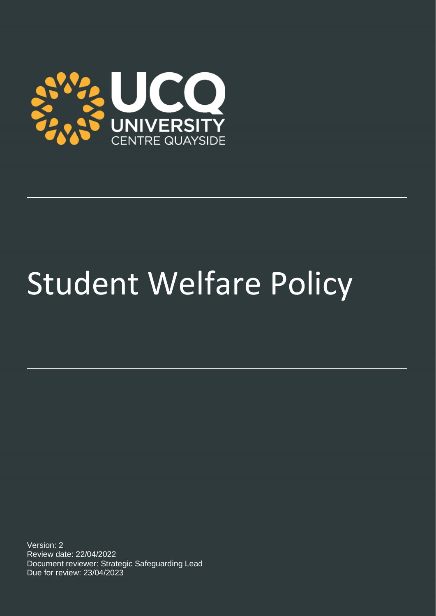

# Student Welfare Policy

Version: 2 Review date: 22/04/2022 Document reviewer: Strategic Safeguarding Lead Due for review: 23/04/2023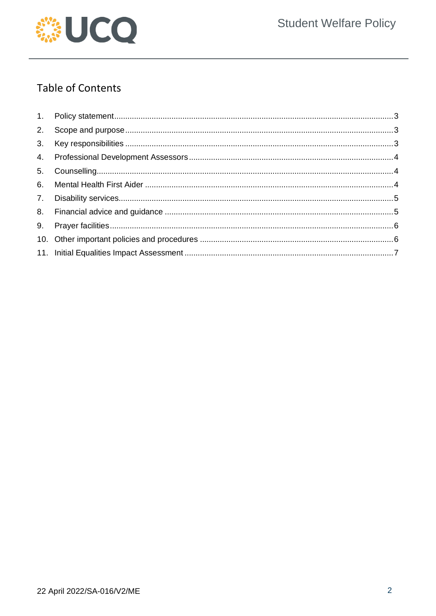

# **Table of Contents**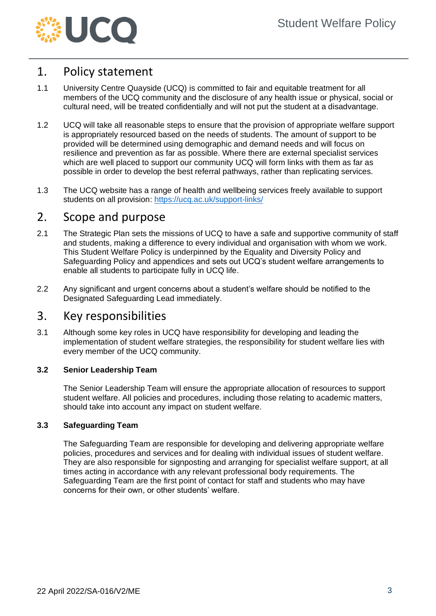

### <span id="page-2-0"></span>1. Policy statement

- 1.1 University Centre Quayside (UCQ) is committed to fair and equitable treatment for all members of the UCQ community and the disclosure of any health issue or physical, social or cultural need, will be treated confidentially and will not put the student at a disadvantage.
- 1.2 UCQ will take all reasonable steps to ensure that the provision of appropriate welfare support is appropriately resourced based on the needs of students. The amount of support to be provided will be determined using demographic and demand needs and will focus on resilience and prevention as far as possible. Where there are external specialist services which are well placed to support our community UCQ will form links with them as far as possible in order to develop the best referral pathways, rather than replicating services.
- 1.3 The UCQ website has a range of health and wellbeing services freely available to support students on all provision:<https://ucq.ac.uk/support-links/>

#### <span id="page-2-1"></span>2. Scope and purpose

- 2.1 The Strategic Plan sets the missions of UCQ to have a safe and supportive community of staff and students, making a difference to every individual and organisation with whom we work. This Student Welfare Policy is underpinned by the Equality and Diversity Policy and Safeguarding Policy and appendices and sets out UCQ's student welfare arrangements to enable all students to participate fully in UCQ life.
- 2.2 Any significant and urgent concerns about a student's welfare should be notified to the Designated Safeguarding Lead immediately.

#### <span id="page-2-2"></span>3. Key responsibilities

3.1 Although some key roles in UCQ have responsibility for developing and leading the implementation of student welfare strategies, the responsibility for student welfare lies with every member of the UCQ community.

#### **3.2 Senior Leadership Team**

The Senior Leadership Team will ensure the appropriate allocation of resources to support student welfare. All policies and procedures, including those relating to academic matters, should take into account any impact on student welfare.

#### **3.3 Safeguarding Team**

The Safeguarding Team are responsible for developing and delivering appropriate welfare policies, procedures and services and for dealing with individual issues of student welfare. They are also responsible for signposting and arranging for specialist welfare support, at all times acting in accordance with any relevant professional body requirements. The Safeguarding Team are the first point of contact for staff and students who may have concerns for their own, or other students' welfare.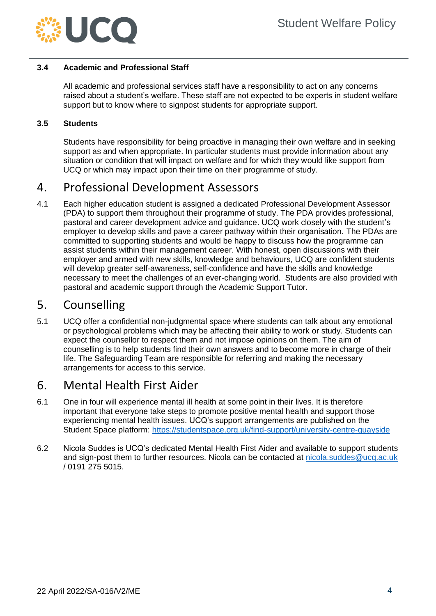

#### **3.4 Academic and Professional Staff**

All academic and professional services staff have a responsibility to act on any concerns raised about a student's welfare. These staff are not expected to be experts in student welfare support but to know where to signpost students for appropriate support.

#### **3.5 Students**

Students have responsibility for being proactive in managing their own welfare and in seeking support as and when appropriate. In particular students must provide information about any situation or condition that will impact on welfare and for which they would like support from UCQ or which may impact upon their time on their programme of study.

### <span id="page-3-0"></span>4. Professional Development Assessors

4.1 Each higher education student is assigned a dedicated Professional Development Assessor (PDA) to support them throughout their programme of study. The PDA provides professional, pastoral and career development advice and guidance. UCQ work closely with the student's employer to develop skills and pave a career pathway within their organisation. The PDAs are committed to supporting students and would be happy to discuss how the programme can assist students within their management career. With honest, open discussions with their employer and armed with new skills, knowledge and behaviours, UCQ are confident students will develop greater self-awareness, self-confidence and have the skills and knowledge necessary to meet the challenges of an ever-changing world. Students are also provided with pastoral and academic support through the Academic Support Tutor.

#### <span id="page-3-1"></span>5. Counselling

5.1 UCQ offer a confidential non-judgmental space where students can talk about any emotional or psychological problems which may be affecting their ability to work or study. Students can expect the counsellor to respect them and not impose opinions on them. The aim of counselling is to help students find their own answers and to become more in charge of their life. The Safeguarding Team are responsible for referring and making the necessary arrangements for access to this service.

#### <span id="page-3-2"></span>6. Mental Health First Aider

- 6.1 One in four will experience mental ill health at some point in their lives. It is therefore important that everyone take steps to promote positive mental health and support those experiencing mental health issues. UCQ's support arrangements are published on the Student Space platform:<https://studentspace.org.uk/find-support/university-centre-quayside>
- 6.2 Nicola Suddes is UCQ's dedicated Mental Health First Aider and available to support students and sign-post them to further resources. Nicola can be contacted at [nicola.suddes@ucq.ac.uk](mailto:nicola.suddes@ucq.ac.uk) / 0191 275 5015.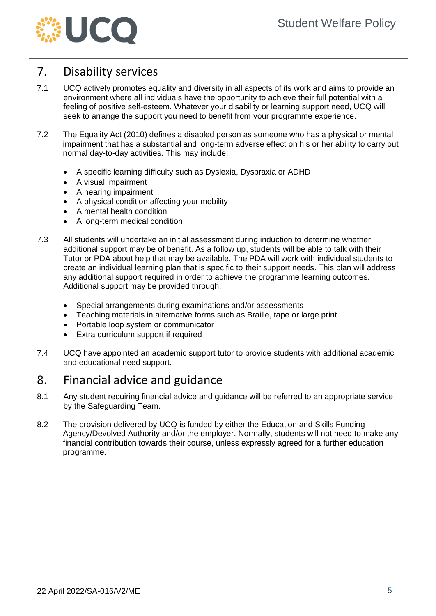

## <span id="page-4-0"></span>7. Disability services

- 7.1 UCQ actively promotes equality and diversity in all aspects of its work and aims to provide an environment where all individuals have the opportunity to achieve their full potential with a feeling of positive self-esteem. Whatever your disability or learning support need, UCQ will seek to arrange the support you need to benefit from your programme experience.
- 7.2 The Equality Act (2010) defines a disabled person as someone who has a physical or mental impairment that has a substantial and long-term adverse effect on his or her ability to carry out normal day-to-day activities. This may include:
	- A specific learning difficulty such as Dyslexia, Dyspraxia or ADHD
	- A visual impairment
	- A hearing impairment
	- A physical condition affecting your mobility
	- A mental health condition
	- A long-term medical condition
- 7.3 All students will undertake an initial assessment during induction to determine whether additional support may be of benefit. As a follow up, students will be able to talk with their Tutor or PDA about help that may be available. The PDA will work with individual students to create an individual learning plan that is specific to their support needs. This plan will address any additional support required in order to achieve the programme learning outcomes. Additional support may be provided through:
	- Special arrangements during examinations and/or assessments
	- Teaching materials in alternative forms such as Braille, tape or large print
	- Portable loop system or communicator
	- **Extra curriculum support if required**
- 7.4 UCQ have appointed an academic support tutor to provide students with additional academic and educational need support.

## <span id="page-4-1"></span>8. Financial advice and guidance

- 8.1 Any student requiring financial advice and guidance will be referred to an appropriate service by the Safeguarding Team.
- 8.2 The provision delivered by UCQ is funded by either the Education and Skills Funding Agency/Devolved Authority and/or the employer. Normally, students will not need to make any financial contribution towards their course, unless expressly agreed for a further education programme.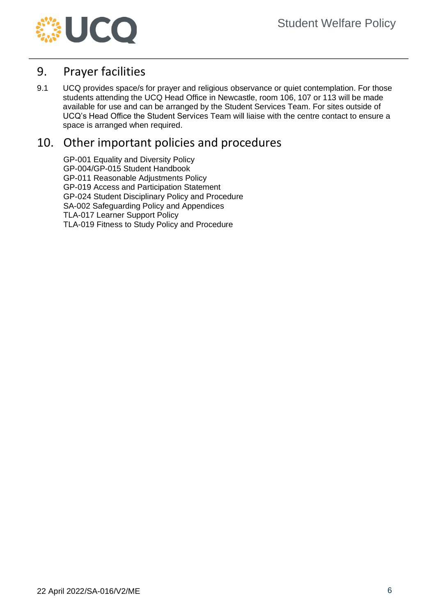

## <span id="page-5-0"></span>9. Prayer facilities

9.1 UCQ provides space/s for prayer and religious observance or quiet contemplation. For those students attending the UCQ Head Office in Newcastle, room 106, 107 or 113 will be made available for use and can be arranged by the Student Services Team. For sites outside of UCQ's Head Office the Student Services Team will liaise with the centre contact to ensure a space is arranged when required.

## <span id="page-5-1"></span>10. Other important policies and procedures

GP-001 Equality and Diversity Policy GP-004/GP-015 Student Handbook GP-011 Reasonable Adjustments Policy GP-019 Access and Participation Statement GP-024 Student Disciplinary Policy and Procedure SA-002 Safeguarding Policy and Appendices TLA-017 Learner Support Policy TLA-019 Fitness to Study Policy and Procedure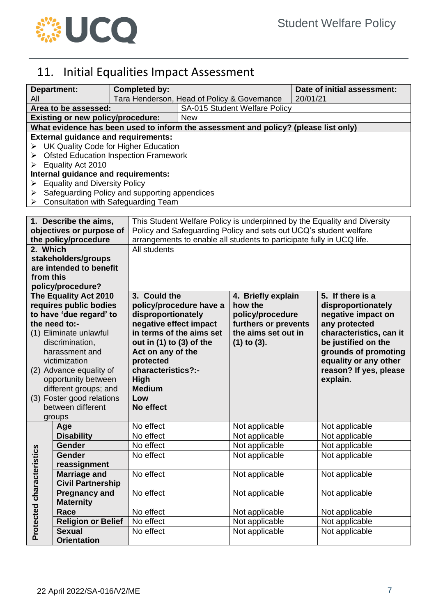

# <span id="page-6-0"></span>11. Initial Equalities Impact Assessment

|                           | Department:                                                                         | <b>Completed by:</b>                          |                                                                                       |                      |          | Date of initial assessment: |  |  |  |
|---------------------------|-------------------------------------------------------------------------------------|-----------------------------------------------|---------------------------------------------------------------------------------------|----------------------|----------|-----------------------------|--|--|--|
| All                       |                                                                                     |                                               | Tara Henderson, Head of Policy & Governance                                           |                      | 20/01/21 |                             |  |  |  |
|                           | Area to be assessed:                                                                |                                               | <b>SA-015 Student Welfare Policy</b>                                                  |                      |          |                             |  |  |  |
|                           | <b>Existing or new policy/procedure:</b>                                            |                                               | <b>New</b>                                                                            |                      |          |                             |  |  |  |
|                           | What evidence has been used to inform the assessment and policy? (please list only) |                                               |                                                                                       |                      |          |                             |  |  |  |
|                           | <b>External guidance and requirements:</b>                                          |                                               |                                                                                       |                      |          |                             |  |  |  |
|                           | UK Quality Code for Higher Education                                                |                                               |                                                                                       |                      |          |                             |  |  |  |
| ➤                         | <b>Ofsted Education Inspection Framework</b>                                        |                                               |                                                                                       |                      |          |                             |  |  |  |
| ➤                         | Equality Act 2010                                                                   |                                               |                                                                                       |                      |          |                             |  |  |  |
|                           | Internal guidance and requirements:                                                 |                                               |                                                                                       |                      |          |                             |  |  |  |
| ➤                         | <b>Equality and Diversity Policy</b>                                                |                                               |                                                                                       |                      |          |                             |  |  |  |
| ➤                         |                                                                                     | Safeguarding Policy and supporting appendices |                                                                                       |                      |          |                             |  |  |  |
|                           |                                                                                     | <b>Consultation with Safeguarding Team</b>    |                                                                                       |                      |          |                             |  |  |  |
|                           |                                                                                     |                                               |                                                                                       |                      |          |                             |  |  |  |
|                           | 1. Describe the aims,                                                               |                                               | This Student Welfare Policy is underpinned by the Equality and Diversity              |                      |          |                             |  |  |  |
|                           | objectives or purpose of<br>the policy/procedure                                    |                                               | Policy and Safeguarding Policy and sets out UCQ's student welfare                     |                      |          |                             |  |  |  |
| 2. Which                  |                                                                                     |                                               | arrangements to enable all students to participate fully in UCQ life.<br>All students |                      |          |                             |  |  |  |
|                           | stakeholders/groups                                                                 |                                               |                                                                                       |                      |          |                             |  |  |  |
|                           | are intended to benefit                                                             |                                               |                                                                                       |                      |          |                             |  |  |  |
| from this                 |                                                                                     |                                               |                                                                                       |                      |          |                             |  |  |  |
|                           | policy/procedure?                                                                   |                                               |                                                                                       |                      |          |                             |  |  |  |
|                           | The Equality Act 2010                                                               |                                               | 3. Could the<br>5. If there is a<br>4. Briefly explain                                |                      |          |                             |  |  |  |
|                           | requires public bodies                                                              |                                               | policy/procedure have a                                                               | how the              |          | disproportionately          |  |  |  |
|                           | to have 'due regard' to                                                             | disproportionately                            |                                                                                       | policy/procedure     |          | negative impact on          |  |  |  |
|                           | the need to:-                                                                       | negative effect impact                        |                                                                                       | furthers or prevents |          | any protected               |  |  |  |
|                           | (1) Eliminate unlawful                                                              |                                               | in terms of the aims set                                                              | the aims set out in  |          | characteristics, can it     |  |  |  |
| discrimination,           |                                                                                     | out in $(1)$ to $(3)$ of the                  |                                                                                       | $(1)$ to $(3)$ .     |          | be justified on the         |  |  |  |
|                           | harassment and                                                                      |                                               | Act on any of the<br>grounds of promoting                                             |                      |          |                             |  |  |  |
|                           | victimization                                                                       | protected                                     |                                                                                       |                      |          | equality or any other       |  |  |  |
|                           | (2) Advance equality of                                                             | characteristics?:-                            |                                                                                       |                      |          | reason? If yes, please      |  |  |  |
|                           | opportunity between                                                                 | <b>High</b>                                   |                                                                                       |                      |          | explain.                    |  |  |  |
|                           | different groups; and                                                               | <b>Medium</b>                                 |                                                                                       |                      |          |                             |  |  |  |
|                           | (3) Foster good relations                                                           | Low                                           |                                                                                       |                      |          |                             |  |  |  |
|                           | between different                                                                   | No effect                                     |                                                                                       |                      |          |                             |  |  |  |
|                           | groups                                                                              | No effect                                     |                                                                                       | Not applicable       |          | Not applicable              |  |  |  |
|                           | Age<br><b>Disability</b>                                                            | No effect                                     |                                                                                       | Not applicable       |          | Not applicable              |  |  |  |
|                           | <b>Gender</b>                                                                       | No effect                                     |                                                                                       | Not applicable       |          | Not applicable              |  |  |  |
|                           | Gender                                                                              | No effect                                     |                                                                                       | Not applicable       |          | Not applicable              |  |  |  |
|                           | reassignment                                                                        |                                               |                                                                                       |                      |          |                             |  |  |  |
|                           | <b>Marriage and</b>                                                                 | No effect                                     |                                                                                       | Not applicable       |          | Not applicable              |  |  |  |
|                           | <b>Civil Partnership</b>                                                            |                                               |                                                                                       |                      |          |                             |  |  |  |
|                           | <b>Pregnancy and</b>                                                                | No effect                                     |                                                                                       | Not applicable       |          | Not applicable              |  |  |  |
|                           | <b>Maternity</b>                                                                    |                                               |                                                                                       |                      |          |                             |  |  |  |
| Protected characteristics | Race                                                                                | No effect                                     |                                                                                       | Not applicable       |          | Not applicable              |  |  |  |
|                           | <b>Religion or Belief</b>                                                           | No effect                                     |                                                                                       | Not applicable       |          | Not applicable              |  |  |  |
|                           | <b>Sexual</b>                                                                       | No effect                                     |                                                                                       | Not applicable       |          | Not applicable              |  |  |  |
|                           | <b>Orientation</b>                                                                  |                                               |                                                                                       |                      |          |                             |  |  |  |